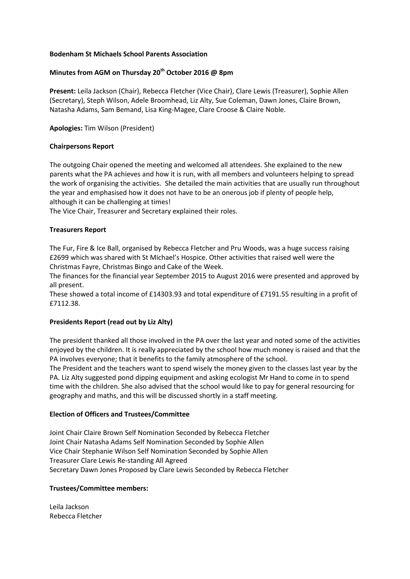### **Bodenham St Michaels School Parents Association**

# **Minutes from AGM on Thursday 20th October 2016 @ 8pm**

**Present:** Leila Jackson (Chair), Rebecca Fletcher (Vice Chair), Clare Lewis (Treasurer), Sophie Allen (Secretary), Steph Wilson, Adele Broomhead, Liz Alty, Sue Coleman, Dawn Jones, Claire Brown, Natasha Adams, Sam Bemand, Lisa King-Magee, Clare Croose & Claire Noble.

**Apologies:** Tim Wilson (President)

## **Chairpersons Report**

The outgoing Chair opened the meeting and welcomed all attendees. She explained to the new parents what the PA achieves and how it is run, with all members and volunteers helping to spread the work of organising the activities. She detailed the main activities that are usually run throughout the year and emphasised how it does not have to be an onerous job if plenty of people help, although it can be challenging at times!

The Vice Chair, Treasurer and Secretary explained their roles.

## **Treasurers Report**

The Fur, Fire & Ice Ball, organised by Rebecca Fletcher and Pru Woods, was a huge success raising £2699 which was shared with St Michael's Hospice. Other activities that raised well were the Christmas Fayre, Christmas Bingo and Cake of the Week.

The finances for the financial year September 2015 to August 2016 were presented and approved by all present.

These showed a total income of £14303.93 and total expenditure of £7191.55 resulting in a profit of £7112.38.

## **Presidents Report (read out by Liz Alty)**

The president thanked all those involved in the PA over the last year and noted some of the activities enjoyed by the children. It is really appreciated by the school how much money is raised and that the PA involves everyone; that it benefits to the family atmosphere of the school.

The President and the teachers want to spend wisely the money given to the classes last year by the PA. Liz Alty suggested pond dipping equipment and asking ecologist Mr Hand to come in to spend time with the children. She also advised that the school would like to pay for general resourcing for geography and maths, and this will be discussed shortly in a staff meeting.

### **Election of Officers and Trustees/Committee**

Joint Chair Claire Brown Self Nomination Seconded by Rebecca Fletcher Joint Chair Natasha Adams Self Nomination Seconded by Sophie Allen Vice Chair Stephanie Wilson Self Nomination Seconded by Sophie Allen Treasurer Clare Lewis Re-standing All Agreed Secretary Dawn Jones Proposed by Clare Lewis Seconded by Rebecca Fletcher

### **Trustees/Committee members:**

Leila Jackson Rebecca Fletcher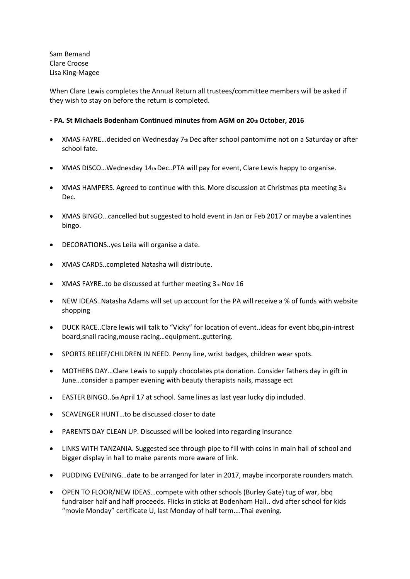Sam Bemand Clare Croose Lisa King-Magee

When Clare Lewis completes the Annual Return all trustees/committee members will be asked if they wish to stay on before the return is completed.

### **- PA. St Michaels Bodenham Continued minutes from AGM on 20th October, 2016**

- XMAS FAYRE...decided on Wednesday 7th Dec after school pantomime not on a Saturday or after school fate.
- XMAS DISCO... Wednesday 14th Dec.. PTA will pay for event, Clare Lewis happy to organise.
- $\bullet$  XMAS HAMPERS. Agreed to continue with this. More discussion at Christmas pta meeting  $3_{rd}$ Dec.
- XMAS BINGO…cancelled but suggested to hold event in Jan or Feb 2017 or maybe a valentines bingo.
- DECORATIONS..yes Leila will organise a date.
- XMAS CARDS..completed Natasha will distribute.
- XMAS FAYRE..to be discussed at further meeting 3rd Nov 16
- NEW IDEAS..Natasha Adams will set up account for the PA will receive a % of funds with website shopping
- DUCK RACE..Clare lewis will talk to "Vicky" for location of event..ideas for event bbq,pin-intrest board,snail racing,mouse racing…equipment..guttering.
- SPORTS RELIEF/CHILDREN IN NEED. Penny line, wrist badges, children wear spots.
- MOTHERS DAY…Clare Lewis to supply chocolates pta donation. Consider fathers day in gift in June…consider a pamper evening with beauty therapists nails, massage ect
- **EASTER BINGO..6th April 17 at school. Same lines as last year lucky dip included.**
- SCAVENGER HUNT…to be discussed closer to date
- PARENTS DAY CLEAN UP. Discussed will be looked into regarding insurance
- LINKS WITH TANZANIA. Suggested see through pipe to fill with coins in main hall of school and bigger display in hall to make parents more aware of link.
- PUDDING EVENING…date to be arranged for later in 2017, maybe incorporate rounders match.
- OPEN TO FLOOR/NEW IDEAS…compete with other schools (Burley Gate) tug of war, bbq fundraiser half and half proceeds. Flicks in sticks at Bodenham Hall.. dvd after school for kids "movie Monday" certificate U, last Monday of half term….Thai evening.